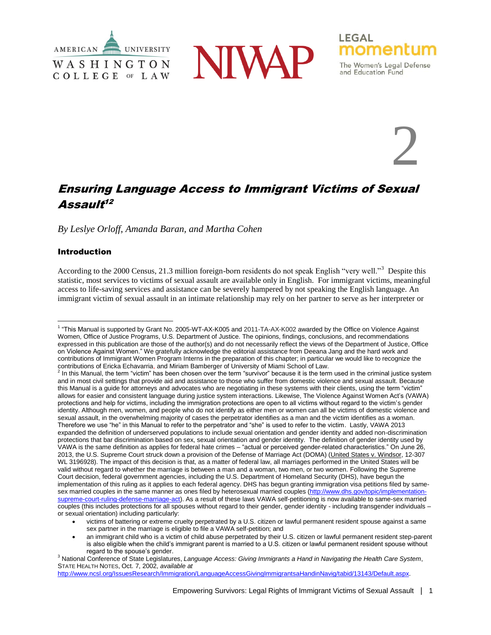





and Education Fund

2

# Ensuring Language Access to Immigrant Victims of Sexual Assault<sup>12</sup>

*By Leslye Orloff, Amanda Baran, and Martha Cohen*

# Introduction

According to the 2000 Census, 21.3 million foreign-born residents do not speak English "very well."<sup>3</sup> Despite this statistic, most services to victims of sexual assault are available only in English. For immigrant victims, meaningful access to life-saving services and assistance can be severely hampered by not speaking the English language. An immigrant victim of sexual assault in an intimate relationship may rely on her partner to serve as her interpreter or

[http://www.ncsl.org/IssuesResearch/Immigration/LanguageAccessGivingImmigrantsaHandinNavig/tabid/13143/Default.aspx.](http://www.ncsl.org/IssuesResearch/Immigration/LanguageAccessGivingImmigrantsaHandinNavig/tabid/13143/Default.aspx)

 $\overline{a}$ <sup>1</sup> "This Manual is supported by Grant No. 2005-WT-AX-K005 and 2011-TA-AX-K002 awarded by the Office on Violence Against Women, Office of Justice Programs, U.S. Department of Justice. The opinions, findings, conclusions, and recommendations expressed in this publication are those of the author(s) and do not necessarily reflect the views of the Department of Justice, Office on Violence Against Women." We gratefully acknowledge the editorial assistance from Deeana Jang and the hard work and contributions of Immigrant Women Program Interns in the preparation of this chapter; in particular we would like to recognize the contributions of Ericka Echavarria, and Miriam Bamberger of University of Miami School of Law.<br><sup>2</sup> In this Manual, the term "victim" has been chosen over the term "survivor" because it is the term used in the criminal just

and in most civil settings that provide aid and assistance to those who suffer from domestic violence and sexual assault. Because this Manual is a guide for attorneys and advocates who are negotiating in these systems with their clients, using the term "victim" allows for easier and consistent language during justice system interactions. Likewise, The Violence Against Women Act's (VAWA) protections and help for victims, including the immigration protections are open to all victims without regard to the victim's gender identity. Although men, women, and people who do not identify as either men or women can all be victims of domestic violence and sexual assault, in the overwhelming majority of cases the perpetrator identifies as a man and the victim identifies as a woman. Therefore we use "he" in this Manual to refer to the perpetrator and "she" is used to refer to the victim. Lastly, VAWA 2013 expanded the definition of underserved populations to include sexual orientation and gender identity and added non-discrimination protections that bar discrimination based on sex, sexual orientation and gender identity. The definition of gender identity used by VAWA is the same definition as applies for federal hate crimes – "actual or perceived gender-related characteristics." On June 26, 2013, the U.S. Supreme Court struck down a provision of the Defense of Marriage Act (DOMA) (United States v. Windsor, 12-307 WL 3196928). The impact of this decision is that, as a matter of federal law, all marriages performed in the United States will be valid without regard to whether the marriage is between a man and a woman, two men, or two women. Following the Supreme Court decision, federal government agencies, including the U.S. Department of Homeland Security (DHS), have begun the implementation of this ruling as it applies to each federal agency. DHS has begun granting immigration visa petitions filed by samesex married couples in the same manner as ones filed by heterosexual married couples [\(http://www.dhs.gov/topic/implementation](http://www.dhs.gov/topic/implementation-supreme-court-ruling-defense-marriage-act)[supreme-court-ruling-defense-marriage-act\)](http://www.dhs.gov/topic/implementation-supreme-court-ruling-defense-marriage-act). As a result of these laws VAWA self-petitioning is now available to same-sex married couples (this includes protections for all spouses without regard to their gender, gender identity - including transgender individuals – or sexual orientation) including particularly:

victims of battering or extreme cruelty perpetrated by a U.S. citizen or lawful permanent resident spouse against a same sex partner in the marriage is eligible to file a VAWA self-petition; and

an immigrant child who is a victim of child abuse perpetrated by their U.S. citizen or lawful permanent resident step-parent is also eligible when the child's immigrant parent is married to a U.S. citizen or lawful permanent resident spouse without regard to the spouse's gender.

<sup>3</sup> National Conference of State Legislatures, *Language Access: Giving Immigrants a Hand in Navigating the Health Care System*, STATE HEALTH NOTES, Oct. 7, 2002, *available at*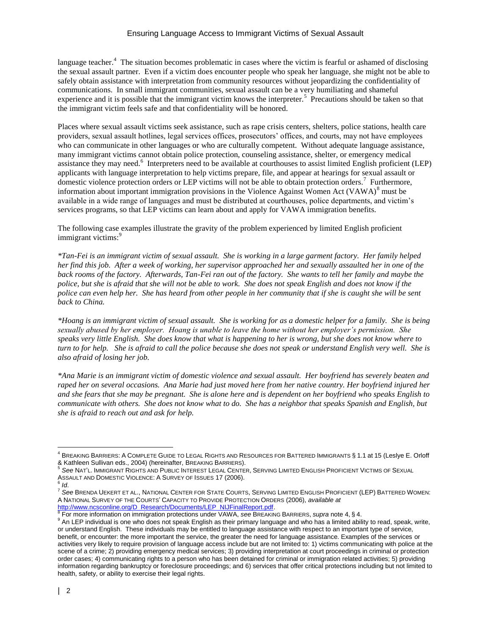language teacher.<sup>4</sup> The situation becomes problematic in cases where the victim is fearful or ashamed of disclosing the sexual assault partner. Even if a victim does encounter people who speak her language, she might not be able to safely obtain assistance with interpretation from community resources without jeopardizing the confidentiality of communications. In small immigrant communities, sexual assault can be a very humiliating and shameful experience and it is possible that the immigrant victim knows the interpreter.<sup>5</sup> Precautions should be taken so that the immigrant victim feels safe and that confidentiality will be honored.

Places where sexual assault victims seek assistance, such as rape crisis centers, shelters, police stations, health care providers, sexual assault hotlines, legal services offices, prosecutors' offices, and courts, may not have employees who can communicate in other languages or who are culturally competent. Without adequate language assistance, many immigrant victims cannot obtain police protection, counseling assistance, shelter, or emergency medical assistance they may need.<sup>6</sup> Interpreters need to be available at courthouses to assist limited English proficient (LEP) applicants with language interpretation to help victims prepare, file, and appear at hearings for sexual assault or domestic violence protection orders or LEP victims will not be able to obtain protection orders.<sup>7</sup> Furthermore, information about important immigration provisions in the Violence Against Women Act (VAWA) $^8$  must be available in a wide range of languages and must be distributed at courthouses, police departments, and victim's services programs, so that LEP victims can learn about and apply for VAWA immigration benefits.

The following case examples illustrate the gravity of the problem experienced by limited English proficient immigrant victims:<sup>9</sup>

*\*Tan-Fei is an immigrant victim of sexual assault. She is working in a large garment factory. Her family helped her find this job. After a week of working, her supervisor approached her and sexually assaulted her in one of the back rooms of the factory. Afterwards, Tan-Fei ran out of the factory. She wants to tell her family and maybe the police, but she is afraid that she will not be able to work. She does not speak English and does not know if the police can even help her. She has heard from other people in her community that if she is caught she will be sent back to China.* 

*\*Hoang is an immigrant victim of sexual assault. She is working for as a domestic helper for a family. She is being sexually abused by her employer. Hoang is unable to leave the home without her employer's permission. She speaks very little English. She does know that what is happening to her is wrong, but she does not know where to turn to for help. She is afraid to call the police because she does not speak or understand English very well. She is also afraid of losing her job.* 

*\*Ana Marie is an immigrant victim of domestic violence and sexual assault. Her boyfriend has severely beaten and raped her on several occasions. Ana Marie had just moved here from her native country. Her boyfriend injured her and she fears that she may be pregnant. She is alone here and is dependent on her boyfriend who speaks English to communicate with others. She does not know what to do. She has a neighbor that speaks Spanish and English, but she is afraid to reach out and ask for help.* 

 $\overline{a}$  $^4$  BREAKING BARRIERS: A COMPLETE GUIDE TO LEGAL RIGHTS AND RESOURCES FOR BATTERED IMMIGRANTS  $\S$  1.1 at 15 (Leslye E. Orloff & Kathleen Sullivan eds., 2004) (hereinafter, BREAKING BARRIERS).

<sup>5</sup> *See* NAT'L. IMMIGRANT RIGHTS AND PUBLIC INTEREST LEGAL CENTER, SERVING LIMITED ENGLISH PROFICIENT VICTIMS OF SEXUAL ASSAULT AND DOMESTIC VIOLENCE: A SURVEY OF ISSUES 17 (2006). 6 *Id*.

<sup>7</sup> *See* BRENDA UEKERT ET AL., NATIONAL CENTER FOR STATE COURTS, SERVING LIMITED ENGLISH PROFICIENT (LEP) BATTERED WOMEN: A NATIONAL SURVEY OF THE COURTS' CAPACITY TO PROVIDE PROTECTION ORDERS (2006), *available at*

[http://www.ncsconline.org/D\\_Research/Documents/LEP\\_NIJFinalReport.pdf.](http://www.ncsconline.org/D_Research/Documents/LEP_NIJFinalReport.pdf) 8 For more information on immigration protections under VAWA, *see* BREAKING BARRIERS, *supra* note 4, § 4.

<sup>&</sup>lt;sup>9</sup> An LEP individual is one who does not speak English as their primary language and who has a limited ability to read, speak, write, or understand English. These individuals may be entitled to language assistance with respect to an important type of service, benefit, or encounter: the more important the service, the greater the need for language assistance. Examples of the services or activities very likely to require provision of language access include but are not limited to: 1) victims communicating with police at the scene of a crime; 2) providing emergency medical services; 3) providing interpretation at court proceedings in criminal or protection order cases; 4) communicating rights to a person who has been detained for criminal or immigration related activities; 5) providing information regarding bankruptcy or foreclosure proceedings; and 6) services that offer critical protections including but not limited to health, safety, or ability to exercise their legal rights.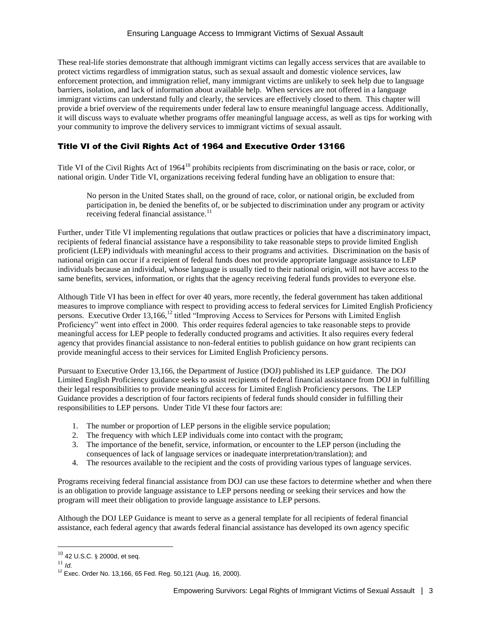These real-life stories demonstrate that although immigrant victims can legally access services that are available to protect victims regardless of immigration status, such as sexual assault and domestic violence services, law enforcement protection, and immigration relief, many immigrant victims are unlikely to seek help due to language barriers, isolation, and lack of information about available help. When services are not offered in a language immigrant victims can understand fully and clearly, the services are effectively closed to them. This chapter will provide a brief overview of the requirements under federal law to ensure meaningful language access. Additionally, it will discuss ways to evaluate whether programs offer meaningful language access, as well as tips for working with your community to improve the delivery services to immigrant victims of sexual assault.

# Title VI of the Civil Rights Act of 1964 and Executive Order 13166

Title VI of the Civil Rights Act of 1964<sup>10</sup> prohibits recipients from discriminating on the basis or race, color, or national origin. Under Title VI, organizations receiving federal funding have an obligation to ensure that:

No person in the United States shall, on the ground of race, color, or national origin, be excluded from participation in, be denied the benefits of, or be subjected to discrimination under any program or activity receiving federal financial assistance.<sup>11</sup>

Further, under Title VI implementing regulations that outlaw practices or policies that have a discriminatory impact, recipients of federal financial assistance have a responsibility to take reasonable steps to provide limited English proficient (LEP) individuals with meaningful access to their programs and activities. Discrimination on the basis of national origin can occur if a recipient of federal funds does not provide appropriate language assistance to LEP individuals because an individual, whose language is usually tied to their national origin, will not have access to the same benefits, services, information, or rights that the agency receiving federal funds provides to everyone else.

Although Title VI has been in effect for over 40 years, more recently, the federal government has taken additional measures to improve compliance with respect to providing access to federal services for Limited English Proficiency persons. Executive Order 13,166,<sup>12</sup> titled "Improving Access to Services for Persons with Limited English Proficiency" went into effect in 2000. This order requires federal agencies to take reasonable steps to provide meaningful access for LEP people to federally conducted programs and activities. It also requires every federal agency that provides financial assistance to non-federal entities to publish guidance on how grant recipients can provide meaningful access to their services for Limited English Proficiency persons.

Pursuant to Executive Order 13,166, the Department of Justice (DOJ) published its LEP guidance. The DOJ Limited English Proficiency guidance seeks to assist recipients of federal financial assistance from DOJ in fulfilling their legal responsibilities to provide meaningful access for Limited English Proficiency persons. The LEP Guidance provides a description of four factors recipients of federal funds should consider in fulfilling their responsibilities to LEP persons. Under Title VI these four factors are:

- 1. The number or proportion of LEP persons in the eligible service population;
- 2. The frequency with which LEP individuals come into contact with the program;
- 3. The importance of the benefit, service, information, or encounter to the LEP person (including the consequences of lack of language services or inadequate interpretation/translation); and
- 4. The resources available to the recipient and the costs of providing various types of language services.

Programs receiving federal financial assistance from DOJ can use these factors to determine whether and when there is an obligation to provide language assistance to LEP persons needing or seeking their services and how the program will meet their obligation to provide language assistance to LEP persons.

Although the DOJ LEP Guidance is meant to serve as a general template for all recipients of federal financial assistance, each federal agency that awards federal financial assistance has developed its own agency specific

 $\overline{a}$  $10$  42 U.S.C.  $\S$  2000d, et seq.

<sup>11</sup> *Id*.

<sup>12</sup> Exec. Order No. 13,166, 65 Fed. Reg. 50,121 (Aug. 16, 2000).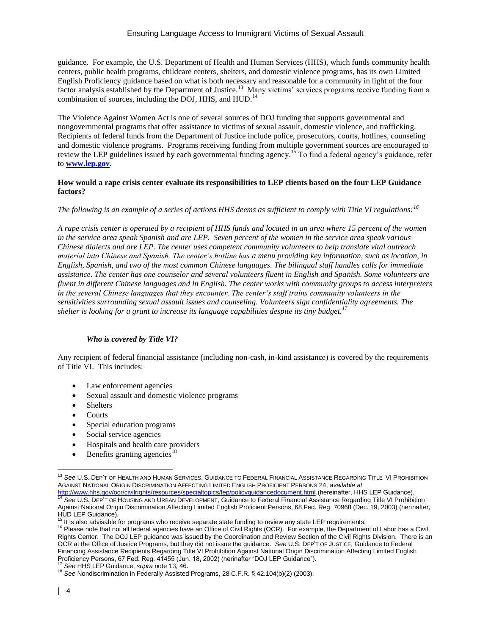guidance. For example, the U.S. Department of Health and Human Services (HHS), which funds community health centers, public health programs, childcare centers, shelters, and domestic violence programs, has its own Limited English Proficiency guidance based on what is both necessary and reasonable for a community in light of the four factor analysis established by the Department of Justice.<sup>13</sup> Many victims' services programs receive funding from a combination of sources, including the DOJ, HHS, and HUD.<sup>14</sup>

The Violence Against Women Act is one of several sources of DOJ funding that supports governmental and nongovernmental programs that offer assistance to victims of sexual assault, domestic violence, and trafficking. Recipients of federal funds from the Department of Justice include police, prosecutors, courts, hotlines, counseling and domestic violence programs. Programs receiving funding from multiple government sources are encouraged to review the LEP guidelines issued by each governmental funding agency.<sup>15</sup> To find a federal agency's guidance, refer to **[www.lep.gov](http://www.lep.gov/)**.

#### **How would a rape crisis center evaluate its responsibilities to LEP clients based on the four LEP Guidance factors?**

### *The following is an example of a series of actions HHS deems as sufficient to comply with Title VI regulations:<sup>16</sup>*

*A rape crisis center is operated by a recipient of HHS funds and located in an area where 15 percent of the women in the service area speak Spanish and are LEP. Seven percent of the women in the service area speak various Chinese dialects and are LEP. The center uses competent community volunteers to help translate vital outreach material into Chinese and Spanish. The center's hotline has a menu providing key information, such as location, in English, Spanish, and two of the most common Chinese languages. The bilingual staff handles calls for immediate assistance. The center has one counselor and several volunteers fluent in English and Spanish. Some volunteers are fluent in different Chinese languages and in English. The center works with community groups to access interpreters in the several Chinese languages that they encounter. The center's staff trains community volunteers in the sensitivities surrounding sexual assault issues and counseling. Volunteers sign confidentiality agreements. The shelter is looking for a grant to increase its language capabilities despite its tiny budget.<sup>17</sup>*

### *Who is covered by Title VI?*

Any recipient of federal financial assistance (including non-cash, in-kind assistance) is covered by the requirements of Title VI. This includes:

- Law enforcement agencies
- Sexual assault and domestic violence programs
- Shelters
- **Courts**
- Special education programs
- Social service agencies
- Hospitals and health care providers
- Benefits granting agencies<sup>18</sup>

 $\overline{a}$ <sup>13</sup> *See* U.S. DEP'T OF HEALTH AND HUMAN SERVICES, GUIDANCE TO FEDERAL FINANCIAL ASSISTANCE REGARDING TITLE VI PROHIBITION AGAINST NATIONAL ORIGIN DISCRIMINATION AFFECTING LIMITED ENGLISH PROFICIENT PERSONS 24, *available at* 

[http://www.hhs.gov/ocr/civilrights/resources/specialtopics/lep/policyguidancedocument.html.](http://www.hhs.gov/ocr/civilrights/resources/specialtopics/lep/policyguidancedocument.html)(hereinafter, HHS LEP Guidance). <sup>14</sup> *See* U.S. DEP'T OF HOUSING AND URBAN DEVELOPMENT, Guidance to Federal Financial Assistance Regarding Title VI Prohibition Against National Origin Discrimination Affecting Limited English Proficient Persons, 68 Fed. Reg. 70968 (Dec. 19, 2003) (herinafter, HUD LEP Guidance).

 $15$  It is also advisable for programs who receive separate state funding to review any state LEP requirements.

<sup>&</sup>lt;sup>16</sup> Please note that not all federal agencies have an Office of Civil Rights (OCR). For example, the Department of Labor has a Civil Rights Center. The DOJ LEP guidance was issued by the Coordination and Review Section of the Civil Rights Division. There is an OCR at the Office of Justice Programs, but they did not issue the guidance. *See* U.S. DEP'T OF JUSTICE, Guidance to Federal Financing Assistance Recipients Regarding Title VI Prohibition Against National Origin Discrimination Affecting Limited English Proficiency Persons, 67 Fed. Reg. 41455 (Jun. 18, 2002) (herinafter "DOJ LEP Guidance").

<sup>17</sup> *See* HHS LEP Guidance, *supra* note 13, 46.

<sup>18</sup> *See* Nondiscrimination in Federally Assisted Programs, 28 C.F.R. § 42.104(b)(2) (2003).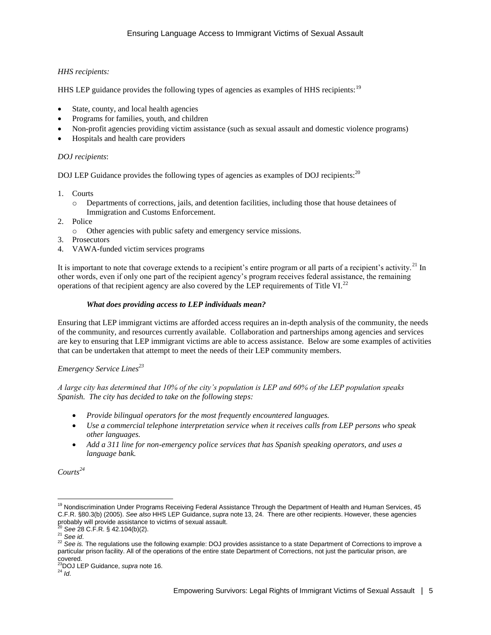# *HHS recipients:*

HHS LEP guidance provides the following types of agencies as examples of HHS recipients:<sup>19</sup>

- State, county, and local health agencies
- Programs for families, youth, and children
- Non-profit agencies providing victim assistance (such as sexual assault and domestic violence programs)
- Hospitals and health care providers

# *DOJ recipients*:

DOJ LEP Guidance provides the following types of agencies as examples of DOJ recipients:<sup>20</sup>

- 1. Courts
	- o Departments of corrections, jails, and detention facilities, including those that house detainees of Immigration and Customs Enforcement.
- 2. Police
	- o Other agencies with public safety and emergency service missions.
- 3. Prosecutors
- 4. VAWA-funded victim services programs

It is important to note that coverage extends to a recipient's entire program or all parts of a recipient's activity.<sup>21</sup> In other words, even if only one part of the recipient agency's program receives federal assistance, the remaining operations of that recipient agency are also covered by the LEP requirements of Title VI. $^{22}$ 

# *What does providing access to LEP individuals mean?*

Ensuring that LEP immigrant victims are afforded access requires an in-depth analysis of the community, the needs of the community, and resources currently available. Collaboration and partnerships among agencies and services are key to ensuring that LEP immigrant victims are able to access assistance. Below are some examples of activities that can be undertaken that attempt to meet the needs of their LEP community members.

# *Emergency Service Lines<sup>23</sup>*

*A large city has determined that 10% of the city's population is LEP and 60% of the LEP population speaks Spanish. The city has decided to take on the following steps:*

- *Provide bilingual operators for the most frequently encountered languages.*
- *Use a commercial telephone interpretation service when it receives calls from LEP persons who speak other languages.*
- *Add a 311 line for non-emergency police services that has Spanish speaking operators, and uses a language bank.*

*Courts<sup>24</sup>*

 $\overline{a}$ <sup>19</sup> Nondiscrimination Under Programs Receiving Federal Assistance Through the Department of Health and Human Services, 45 C.F.R. §80.3(b) (2005). *See also* HHS LEP Guidance, *supra* note 13, 24. There are other recipients. However, these agencies probably will provide assistance to victims of sexual assault.

<sup>20</sup> *See* 28 C.F.R. § 42.104(b)(2).

<sup>21</sup> *See id*.

<sup>22</sup> *See is.* The regulations use the following example: DOJ provides assistance to a state Department of Corrections to improve a particular prison facility. All of the operations of the entire state Department of Corrections, not just the particular prison, are

covered. <sup>23</sup>DOJ LEP Guidance, *supra* note 16.

<sup>24</sup> *Id*.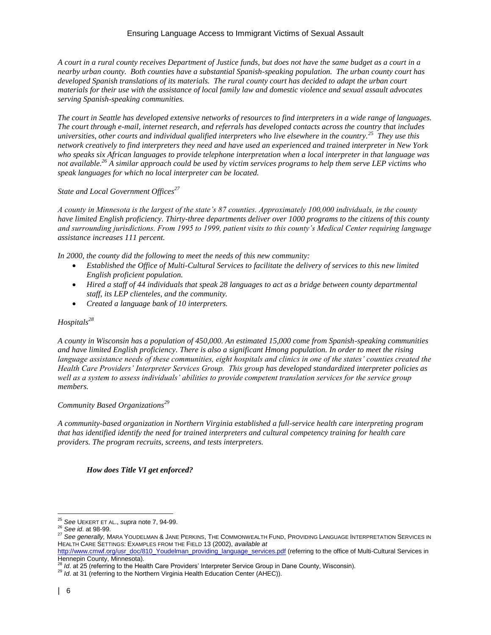*A court in a rural county receives Department of Justice funds, but does not have the same budget as a court in a nearby urban county. Both counties have a substantial Spanish-speaking population. The urban county court has developed Spanish translations of its materials. The rural county court has decided to adapt the urban court materials for their use with the assistance of local family law and domestic violence and sexual assault advocates serving Spanish-speaking communities.* 

*The court in Seattle has developed extensive networks of resources to find interpreters in a wide range of languages. The court through e-mail, internet research, and referrals has developed contacts across the country that includes universities, other courts and individual qualified interpreters who live elsewhere in the country.<sup>25</sup> They use this network creatively to find interpreters they need and have used an experienced and trained interpreter in New York who speaks six African languages to provide telephone interpretation when a local interpreter in that language was not available.<sup>26</sup> A similar approach could be used by victim services programs to help them serve LEP victims who speak languages for which no local interpreter can be located.* 

#### *State and Local Government Offices<sup>27</sup>*

*A county in Minnesota is the largest of the state's 87 counties. Approximately 100,000 individuals, in the county have limited English proficiency. Thirty-three departments deliver over 1000 programs to the citizens of this county and surrounding jurisdictions. From 1995 to 1999, patient visits to this county's Medical Center requiring language assistance increases 111 percent.*

*In 2000, the county did the following to meet the needs of this new community:*

- *Established the Office of Multi-Cultural Services to facilitate the delivery of services to this new limited English proficient population.*
- *Hired a staff of 44 individuals that speak 28 languages to act as a bridge between county departmental staff, its LEP clienteles, and the community.*
- *Created a language bank of 10 interpreters.*

# *Hospitals<sup>28</sup>*

*A county in Wisconsin has a population of 450,000. An estimated 15,000 come from Spanish-speaking communities and have limited English proficiency. There is also a significant Hmong population. In order to meet the rising*  language assistance needs of these communities, eight hospitals and clinics in one of the states' counties created the *Health Care Providers' Interpreter Services Group. This group has developed standardized interpreter policies as*  well as a system to assess individuals' abilities to provide competent translation services for the service group *members.*

#### *Community Based Organizations<sup>29</sup>*

*A community-based organization in Northern Virginia established a full-service health care interpreting program that has identified identify the need for trained interpreters and cultural competency training for health care providers. The program recruits, screens, and tests interpreters.*

### *How does Title VI get enforced?*

<sup>25</sup> *See* UEKERT ET AL., *supra* note 7, 94-99.

<sup>26</sup> *See id*. at 98-99.

<sup>27</sup> *See generally,* MARA YOUDELMAN & JANE PERKINS, THE COMMONWEALTH FUND, PROVIDING LANGUAGE INTERPRETATION SERVICES IN HEALTH CARE SETTINGS: EXAMPLES FROM THE FIELD 13 (2002), *available at* 

[http://www.cmwf.org/usr\\_doc/810\\_Youdelman\\_providing\\_language\\_services.pdf](http://www.cmwf.org/usr_doc/810_Youdelman_providing_language_services.pdf) (referring to the office of Multi-Cultural Services in Hennepin County, Minnesota).

*Id.* at 25 (referring to the Health Care Providers' Interpreter Service Group in Dane County, Wisconsin).

<sup>29</sup> *Id*. at 31 (referring to the Northern Virginia Health Education Center (AHEC)).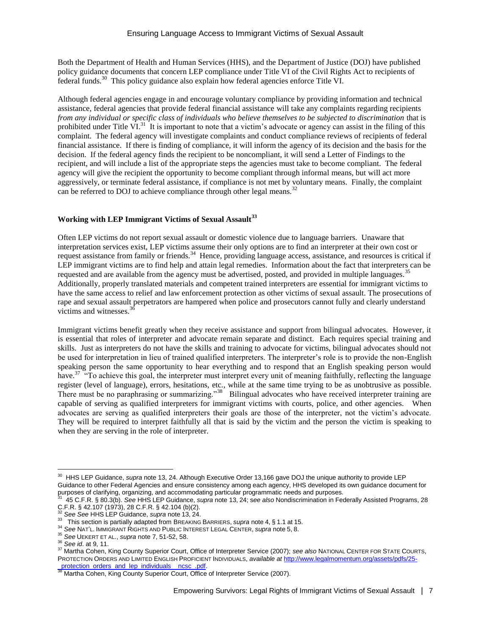Both the Department of Health and Human Services (HHS), and the Department of Justice (DOJ) have published policy guidance documents that concern LEP compliance under Title VI of the Civil Rights Act to recipients of federal funds.<sup>30</sup> This policy guidance also explain how federal agencies enforce Title VI.

Although federal agencies engage in and encourage voluntary compliance by providing information and technical assistance, federal agencies that provide federal financial assistance will take any complaints regarding recipients *from any individual or specific class of individuals who believe themselves to be subjected to discrimination* that is prohibited under Title VI.<sup>31</sup> It is important to note that a victim's advocate or agency can assist in the filing of this complaint. The federal agency will investigate complaints and conduct compliance reviews of recipients of federal financial assistance. If there is finding of compliance, it will inform the agency of its decision and the basis for the decision. If the federal agency finds the recipient to be noncompliant, it will send a Letter of Findings to the recipient, and will include a list of the appropriate steps the agencies must take to become compliant. The federal agency will give the recipient the opportunity to become compliant through informal means, but will act more aggressively, or terminate federal assistance, if compliance is not met by voluntary means. Finally, the complaint can be referred to DOJ to achieve compliance through other legal means.<sup>32</sup>

### **Working with LEP Immigrant Victims of Sexual Assault<sup>33</sup>**

Often LEP victims do not report sexual assault or domestic violence due to language barriers. Unaware that interpretation services exist, LEP victims assume their only options are to find an interpreter at their own cost or request assistance from family or friends.<sup>34</sup> Hence, providing language access, assistance, and resources is critical if LEP immigrant victims are to find help and attain legal remedies. Information about the fact that interpreters can be requested and are available from the agency must be advertised, posted, and provided in multiple languages.<sup>35</sup> Additionally, properly translated materials and competent trained interpreters are essential for immigrant victims to have the same access to relief and law enforcement protection as other victims of sexual assault. The prosecutions of rape and sexual assault perpetrators are hampered when police and prosecutors cannot fully and clearly understand victims and witnesses. $3<sup>6</sup>$ 

Immigrant victims benefit greatly when they receive assistance and support from bilingual advocates. However, it is essential that roles of interpreter and advocate remain separate and distinct. Each requires special training and skills. Just as interpreters do not have the skills and training to advocate for victims, bilingual advocates should not be used for interpretation in lieu of trained qualified interpreters. The interpreter's role is to provide the non-English speaking person the same opportunity to hear everything and to respond that an English speaking person would have.<sup>37</sup> "To achieve this goal, the interpreter must interpret every unit of meaning faithfully, reflecting the language register (level of language), errors, hesitations, etc., while at the same time trying to be as unobtrusive as possible. There must be no paraphrasing or summarizing."<sup>38</sup> Bilingual advocates who have received interpreter training are capable of serving as qualified interpreters for immigrant victims with courts, police, and other agencies. When advocates are serving as qualified interpreters their goals are those of the interpreter, not the victim's advocate. They will be required to interpret faithfully all that is said by the victim and the person the victim is speaking to when they are serving in the role of interpreter.

 $\overline{a}$ 30 HHS LEP Guidance, *supra* note 13, 24. Although Executive Order 13,166 gave DOJ the unique authority to provide LEP Guidance to other Federal Agencies and ensure consistency among each agency, HHS developed its own guidance document for purposes of clarifying, organizing, and accommodating particular programmatic needs and purposes.<br><sup>31</sup>, 45 C E B § 89.3(b), See UUS LEB Cuidence, surre note 43, 34, ees also Nandiesiminaties in Ess

 <sup>45</sup> C.F.R. § 80.3(b). *See* HHS LEP Guidance, *supra* note 13, 24; s*ee also* Nondiscrimination in Federally Assisted Programs, 28 C.F.R. § 42.107 (1973), 28 C.F.R. § 42.104 (b)(2).<br> $\frac{32}{32}$  Soo Soo HHS LED Cuidence.  $\frac{32}{32}$  Soo Soo HHS LED Cuidence.

<sup>32</sup> *See See* HHS LEP Guidance, *supra* note 13, 24.

<sup>33</sup> This section is partially adapted from BREAKING BARRIERS, *supra* note 4, § 1.1 at 15.

<sup>34</sup> *See* NAT'L. IMMIGRANT RIGHTS AND PUBLIC INTEREST LEGAL CENTER, *supra* note 5, 8.

<sup>35</sup> *See* UEKERT ET AL., *supra* note 7, 51-52, 58.

<sup>36</sup> *See id*. at 9, 11.

<sup>37</sup> Martha Cohen, King County Superior Court, Office of Interpreter Service (2007); *see also* NATIONAL CENTER FOR STATE COURTS, PROTECTION ORDERS AND LIMITED ENGLISH PROFICIENT INDIVIDUALS, *available at* [http://www.legalmomentum.org/assets/pdfs/25](http://www.legalmomentum.org/assets/pdfs/25-_protection_orders_and_lep_individuals__ncsc_.pdf) protection\_orders\_and\_lep\_individuals\_ncsc\_.pdf.

**<sup>38</sup> Martha Cohen, King County Superior Court, Office of Interpreter Service (2007).**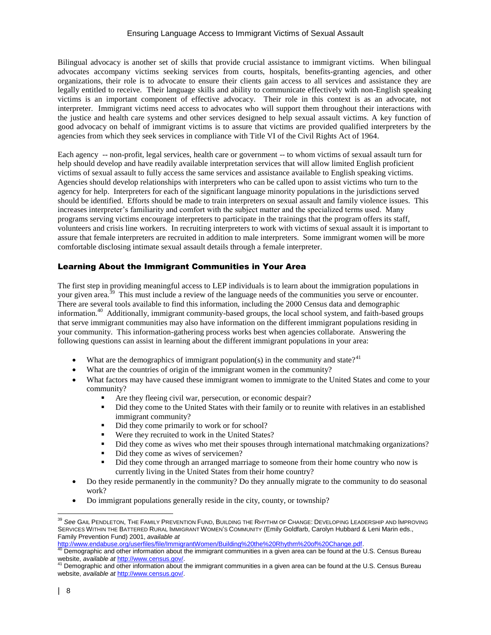Bilingual advocacy is another set of skills that provide crucial assistance to immigrant victims. When bilingual advocates accompany victims seeking services from courts, hospitals, benefits-granting agencies, and other organizations, their role is to advocate to ensure their clients gain access to all services and assistance they are legally entitled to receive. Their language skills and ability to communicate effectively with non-English speaking victims is an important component of effective advocacy. Their role in this context is as an advocate, not interpreter. Immigrant victims need access to advocates who will support them throughout their interactions with the justice and health care systems and other services designed to help sexual assault victims. A key function of good advocacy on behalf of immigrant victims is to assure that victims are provided qualified interpreters by the agencies from which they seek services in compliance with Title VI of the Civil Rights Act of 1964.

Each agency -- non-profit, legal services, health care or government -- to whom victims of sexual assault turn for help should develop and have readily available interpretation services that will allow limited English proficient victims of sexual assault to fully access the same services and assistance available to English speaking victims. Agencies should develop relationships with interpreters who can be called upon to assist victims who turn to the agency for help. Interpreters for each of the significant language minority populations in the jurisdictions served should be identified. Efforts should be made to train interpreters on sexual assault and family violence issues. This increases interpreter's familiarity and comfort with the subject matter and the specialized terms used. Many programs serving victims encourage interpreters to participate in the trainings that the program offers its staff, volunteers and crisis line workers. In recruiting interpreters to work with victims of sexual assault it is important to assure that female interpreters are recruited in addition to male interpreters. Some immigrant women will be more comfortable disclosing intimate sexual assault details through a female interpreter.

# Learning About the Immigrant Communities in Your Area

The first step in providing meaningful access to LEP individuals is to learn about the immigration populations in your given area.<sup>39</sup> This must include a review of the language needs of the communities you serve or encounter. There are several tools available to find this information, including the 2000 Census data and demographic information.<sup>40</sup> Additionally, immigrant community-based groups, the local school system, and faith-based groups that serve immigrant communities may also have information on the different immigrant populations residing in your community. This information-gathering process works best when agencies collaborate. Answering the following questions can assist in learning about the different immigrant populations in your area:

- What are the demographics of immigrant population(s) in the community and state?<sup>41</sup>
- What are the countries of origin of the immigrant women in the community?
- What factors may have caused these immigrant women to immigrate to the United States and come to your community?
	- Are they fleeing civil war, persecution, or economic despair?
	- Did they come to the United States with their family or to reunite with relatives in an established immigrant community?
	- Did they come primarily to work or for school?
	- Were they recruited to work in the United States?
	- Did they come as wives who met their spouses through international matchmaking organizations?
	- Did they come as wives of servicemen?
	- Did they come through an arranged marriage to someone from their home country who now is currently living in the United States from their home country?
- Do they reside permanently in the community? Do they annually migrate to the community to do seasonal work?
- Do immigrant populations generally reside in the city, county, or township?

[http://www.endabuse.org/userfiles/file/ImmigrantWomen/Building%20the%20Rhythm%20of%20Change.pdf.](http://www.endabuse.org/userfiles/file/ImmigrantWomen/Building%20the%20Rhythm%20of%20Change.pdf)

<sup>39</sup> *See* GAIL PENDLETON, THE FAMILY PREVENTION FUND, BUILDING THE RHYTHM OF CHANGE: DEVELOPING LEADERSHIP AND IMPROVING SERVICES WITHIN THE BATTERED RURAL IMMIGRANT WOMEN'S COMMUNITY (Emily Goldfarb, Carolyn Hubbard & Leni Marin eds., Family Prevention Fund) 2001, *available at*

Demographic and other information about the immigrant communities in a given area can be found at the U.S. Census Bureau website, *available at <u>http://www.census.gov/</u>.*<br><sup>41</sup> Demographic and other information about the immigrant communities in a given area can be found at the U.S. Census Bureau

website, *available at* [http://www.census.gov/.](http://www.census.gov/)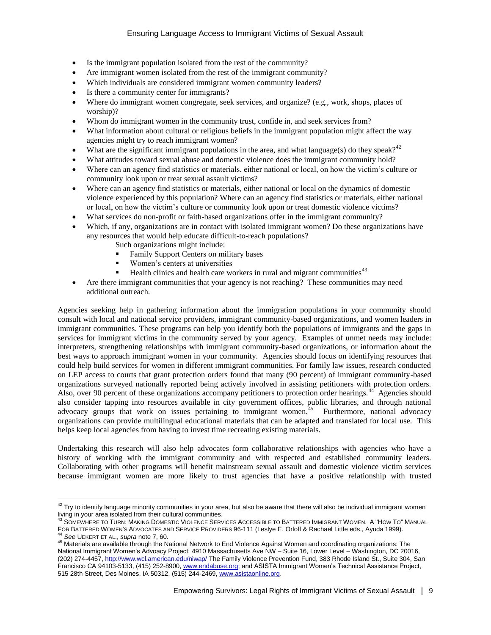- Is the immigrant population isolated from the rest of the community?
- Are immigrant women isolated from the rest of the immigrant community?
- Which individuals are considered immigrant women community leaders?
- Is there a community center for immigrants?
- Where do immigrant women congregate, seek services, and organize? (e.g., work, shops, places of worship)?
- Whom do immigrant women in the community trust, confide in, and seek services from?
- What information about cultural or religious beliefs in the immigrant population might affect the way agencies might try to reach immigrant women?
- What are the significant immigrant populations in the area, and what language(s) do they speak?<sup>42</sup>
- What attitudes toward sexual abuse and domestic violence does the immigrant community hold?
- Where can an agency find statistics or materials, either national or local, on how the victim's culture or community look upon or treat sexual assault victims?
- Where can an agency find statistics or materials, either national or local on the dynamics of domestic violence experienced by this population? Where can an agency find statistics or materials, either national or local, on how the victim's culture or community look upon or treat domestic violence victims?
- What services do non-profit or faith-based organizations offer in the immigrant community?
- Which, if any, organizations are in contact with isolated immigrant women? Do these organizations have any resources that would help educate difficult-to-reach populations?
	- Such organizations might include:
	- Family Support Centers on military bases
	- Women's centers at universities
	- Health clinics and health care workers in rural and migrant communities<sup> $43$ </sup>
- Are there immigrant communities that your agency is not reaching? These communities may need additional outreach.

Agencies seeking help in gathering information about the immigration populations in your community should consult with local and national service providers, immigrant community-based organizations, and women leaders in immigrant communities. These programs can help you identify both the populations of immigrants and the gaps in services for immigrant victims in the community served by your agency. Examples of unmet needs may include: interpreters, strengthening relationships with immigrant community-based organizations, or information about the best ways to approach immigrant women in your community. Agencies should focus on identifying resources that could help build services for women in different immigrant communities. For family law issues, research conducted on LEP access to courts that grant protection orders found that many (90 percent) of immigrant community-based organizations surveyed nationally reported being actively involved in assisting petitioners with protection orders. Also, over 90 percent of these organizations accompany petitioners to protection order hearings.<sup>44</sup> Agencies should also consider tapping into resources available in city government offices, public libraries, and through national advocacy groups that work on issues pertaining to immigrant women.<sup>45</sup> Furthermore, national advocacy organizations can provide multilingual educational materials that can be adapted and translated for local use. This helps keep local agencies from having to invest time recreating existing materials.

Undertaking this research will also help advocates form collaborative relationships with agencies who have a history of working with the immigrant community and with respected and established community leaders. Collaborating with other programs will benefit mainstream sexual assault and domestic violence victim services because immigrant women are more likely to trust agencies that have a positive relationship with trusted

 $\overline{a}$  $^{42}$  Try to identify language minority communities in your area, but also be aware that there will also be individual immigrant women living in your area isolated from their cultural communities.

<sup>43</sup> SOMEWHERE TO TURN: MAKING DOMESTIC VIOLENCE SERVICES ACCESSIBLE TO BATTERED IMMIGRANT WOMEN. A "HOW TO" MANUAL FOR BATTERED WOMEN'S ADVOCATES AND SERVICE PROVIDERS 96-111 (Leslye E. Orloff & Rachael Little eds., Ayuda 1999). <sup>44</sup> *See* UEKERT ET AL., *supra* note 7, 60.

<sup>45</sup> Materials are available through the National Network to End Violence Against Women and coordinating organizations: The National Immigrant Women's Advoacy Project, 4910 Massachusetts Ave NW – Suite 16, Lower Level – Washington, DC 20016, (202) 274-4457,<http://www.wcl.american.edu/niwap/> The Family Violence Prevention Fund, 383 Rhode Island St., Suite 304, San Francisco CA 94103-5133, (415) 252-8900[, www.endabuse.org;](../../source-files/SA%20Manual/www.endabuse.org) and ASISTA Immigrant Women's Technical Assistance Project, 515 28th Street, Des Moines, IA 50312, (515) 244-2469[, www.asistaonline.org.](../../source-files/SA%20Manual/www.asistaonline.org)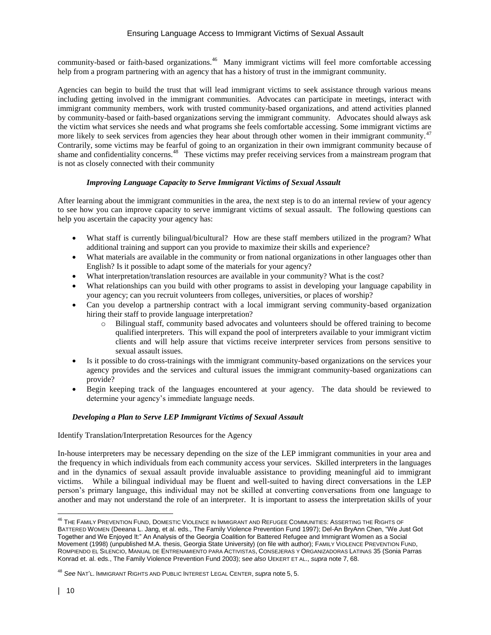community-based or faith-based organizations.<sup>46</sup> Many immigrant victims will feel more comfortable accessing help from a program partnering with an agency that has a history of trust in the immigrant community.

Agencies can begin to build the trust that will lead immigrant victims to seek assistance through various means including getting involved in the immigrant communities. Advocates can participate in meetings, interact with immigrant community members, work with trusted community-based organizations, and attend activities planned by community-based or faith-based organizations serving the immigrant community. Advocates should always ask the victim what services she needs and what programs she feels comfortable accessing. Some immigrant victims are more likely to seek services from agencies they hear about through other women in their immigrant community.<sup>47</sup> Contrarily, some victims may be fearful of going to an organization in their own immigrant community because of shame and confidentiality concerns.<sup>48</sup> These victims may prefer receiving services from a mainstream program that is not as closely connected with their community

### *Improving Language Capacity to Serve Immigrant Victims of Sexual Assault*

After learning about the immigrant communities in the area, the next step is to do an internal review of your agency to see how you can improve capacity to serve immigrant victims of sexual assault. The following questions can help you ascertain the capacity your agency has:

- What staff is currently bilingual/bicultural? How are these staff members utilized in the program? What additional training and support can you provide to maximize their skills and experience?
- What materials are available in the community or from national organizations in other languages other than English? Is it possible to adapt some of the materials for your agency?
- What interpretation/translation resources are available in your community? What is the cost?
- What relationships can you build with other programs to assist in developing your language capability in your agency; can you recruit volunteers from colleges, universities, or places of worship?
- Can you develop a partnership contract with a local immigrant serving community-based organization hiring their staff to provide language interpretation?
	- o Bilingual staff, community based advocates and volunteers should be offered training to become qualified interpreters. This will expand the pool of interpreters available to your immigrant victim clients and will help assure that victims receive interpreter services from persons sensitive to sexual assault issues.
- Is it possible to do cross-trainings with the immigrant community-based organizations on the services your agency provides and the services and cultural issues the immigrant community-based organizations can provide?
- Begin keeping track of the languages encountered at your agency. The data should be reviewed to determine your agency's immediate language needs.

### *Developing a Plan to Serve LEP Immigrant Victims of Sexual Assault*

Identify Translation/Interpretation Resources for the Agency

In-house interpreters may be necessary depending on the size of the LEP immigrant communities in your area and the frequency in which individuals from each community access your services. Skilled interpreters in the languages and in the dynamics of sexual assault provide invaluable assistance to providing meaningful aid to immigrant victims. While a bilingual individual may be fluent and well-suited to having direct conversations in the LEP person's primary language, this individual may not be skilled at converting conversations from one language to another and may not understand the role of an interpreter. It is important to assess the interpretation skills of your

 $\overline{a}$ <sup>46</sup> THE FAMILY PREVENTION FUND, DOMESTIC VIOLENCE IN IMMIGRANT AND REFUGEE COMMUNITIES: ASSERTING THE RIGHTS OF BATTERED WOMEN (Deeana L. Jang, et al. eds., The Family Violence Prevention Fund 1997); Del-An BryAnn Chen, "We Just Got Together and We Enjoyed It:" An Analysis of the Georgia Coalition for Battered Refugee and Immigrant Women as a Social Movement (1998) (unpublished M.A. thesis, Georgia State University) (on file with author); FAMILY VIOLENCE PREVENTION FUND, ROMPIENDO EL SILENCIO, MANUAL DE ENTRENAMIENTO PARA ACTIVISTAS, CONSEJERAS Y ORGANIZADORAS LATINAS 35 (Sonia Parras Konrad et. al. eds., The Family Violence Prevention Fund 2003); s*ee also* UEKERT ET AL., *supra* note 7, 68.

<sup>48</sup> *See* NAT'L. IMMIGRANT RIGHTS AND PUBLIC INTEREST LEGAL CENTER, *supra* note 5, 5.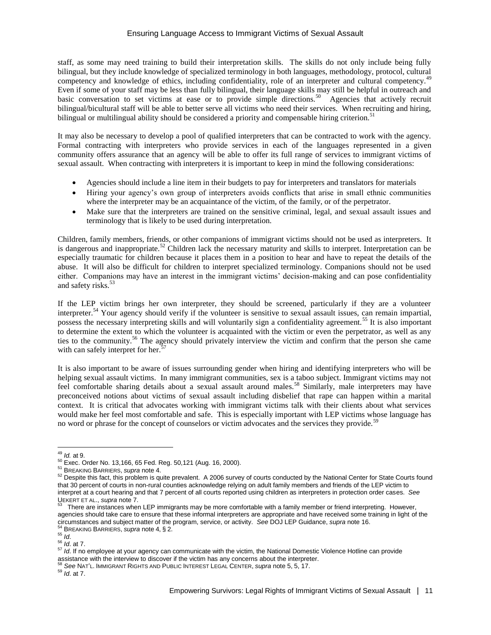staff, as some may need training to build their interpretation skills. The skills do not only include being fully bilingual, but they include knowledge of specialized terminology in both languages, methodology, protocol, cultural competency and knowledge of ethics, including confidentiality, role of an interpreter and cultural competency.<sup>49</sup> Even if some of your staff may be less than fully bilingual, their language skills may still be helpful in outreach and basic conversation to set victims at ease or to provide simple directions.<sup>50</sup> Agencies that actively recruit bilingual/bicultural staff will be able to better serve all victims who need their services. When recruiting and hiring, bilingual or multilingual ability should be considered a priority and compensable hiring criterion.<sup>51</sup>

It may also be necessary to develop a pool of qualified interpreters that can be contracted to work with the agency. Formal contracting with interpreters who provide services in each of the languages represented in a given community offers assurance that an agency will be able to offer its full range of services to immigrant victims of sexual assault. When contracting with interpreters it is important to keep in mind the following considerations:

- Agencies should include a line item in their budgets to pay for interpreters and translators for materials
- Hiring your agency's own group of interpreters avoids conflicts that arise in small ethnic communities where the interpreter may be an acquaintance of the victim, of the family, or of the perpetrator.
- Make sure that the interpreters are trained on the sensitive criminal, legal, and sexual assault issues and terminology that is likely to be used during interpretation.

Children, family members, friends, or other companions of immigrant victims should not be used as interpreters. It is dangerous and inappropriate.<sup>52</sup> Children lack the necessary maturity and skills to interpret. Interpretation can be especially traumatic for children because it places them in a position to hear and have to repeat the details of the abuse. It will also be difficult for children to interpret specialized terminology. Companions should not be used either. Companions may have an interest in the immigrant victims' decision-making and can pose confidentiality and safety risks.<sup>53</sup>

If the LEP victim brings her own interpreter, they should be screened, particularly if they are a volunteer interpreter.<sup>54</sup> Your agency should verify if the volunteer is sensitive to sexual assault issues, can remain impartial, possess the necessary interpreting skills and will voluntarily sign a confidentiality agreement.<sup>55</sup> It is also important to determine the extent to which the volunteer is acquainted with the victim or even the perpetrator, as well as any ties to the community.<sup>56</sup> The agency should privately interview the victim and confirm that the person she came with can safely interpret for her.<sup>57</sup>

It is also important to be aware of issues surrounding gender when hiring and identifying interpreters who will be helping sexual assault victims. In many immigrant communities, sex is a taboo subject. Immigrant victims may not feel comfortable sharing details about a sexual assault around males.<sup>58</sup> Similarly, male interpreters may have preconceived notions about victims of sexual assault including disbelief that rape can happen within a marital context. It is critical that advocates working with immigrant victims talk with their clients about what services would make her feel most comfortable and safe. This is especially important with LEP victims whose language has no word or phrase for the concept of counselors or victim advocates and the services they provide.<sup>59</sup>

 $\overline{a}$ <sup>49</sup> *Id.* at 9.

<sup>50</sup> Exec. Order No. 13,166, 65 Fed. Reg. 50,121 (Aug. 16, 2000).

<sup>51</sup> BREAKING BARRIERS, *supra* note 4.

<sup>&</sup>lt;sup>52</sup> Despite this fact, this problem is quite prevalent. A 2006 survey of courts conducted by the National Center for State Courts found that 30 percent of courts in non-rural counties acknowledge relying on adult family members and friends of the LEP victim to interpret at a court hearing and that 7 percent of all courts reported using children as interpreters in protection order cases. *See*

UEKERT ET AL., *supra* note 7.<br><sup>53</sup> There are instances when LEP immigrants may be more comfortable with a family member or friend interpreting. However, agencies should take care to ensure that these informal interpreters are appropriate and have received some training in light of the circumstances and subject matter of the program, service, or activity. *See* DOJ LEP Guidance, *supra* note 16. <sup>54</sup> BREAKING BARRIERS, *supra* note 4, § 2.

 $55 \frac{L}{10}$ .

<sup>56</sup> *Id*. at 7.

<sup>57</sup> *Id*. If no employee at your agency can communicate with the victim, the National Domestic Violence Hotline can provide assistance with the interview to discover if the victim has any concerns about the interpreter.

<sup>58</sup> *See* NAT'L. IMMIGRANT RIGHTS AND PUBLIC INTEREST LEGAL CENTER, *supra* note 5, 5, 17.

<sup>59</sup> *Id*. at 7.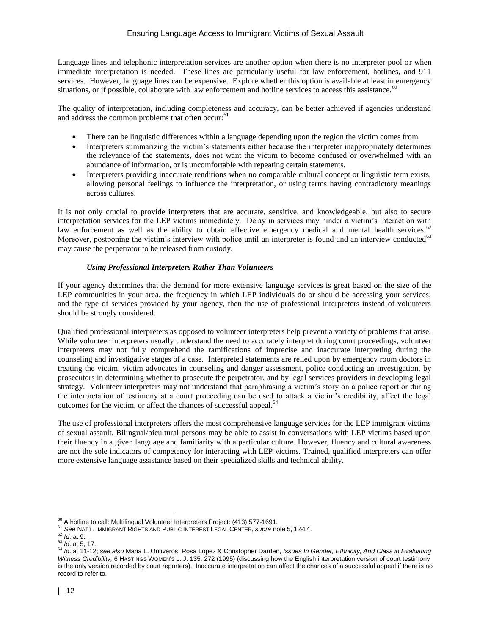Language lines and telephonic interpretation services are another option when there is no interpreter pool or when immediate interpretation is needed. These lines are particularly useful for law enforcement, hotlines, and 911 services. However, language lines can be expensive. Explore whether this option is available at least in emergency situations, or if possible, collaborate with law enforcement and hotline services to access this assistance.<sup>60</sup>

The quality of interpretation, including completeness and accuracy, can be better achieved if agencies understand and address the common problems that often occur:<sup>61</sup>

- There can be linguistic differences within a language depending upon the region the victim comes from.
- Interpreters summarizing the victim's statements either because the interpreter inappropriately determines the relevance of the statements, does not want the victim to become confused or overwhelmed with an abundance of information, or is uncomfortable with repeating certain statements.
- Interpreters providing inaccurate renditions when no comparable cultural concept or linguistic term exists, allowing personal feelings to influence the interpretation, or using terms having contradictory meanings across cultures.

It is not only crucial to provide interpreters that are accurate, sensitive, and knowledgeable, but also to secure interpretation services for the LEP victims immediately. Delay in services may hinder a victim's interaction with law enforcement as well as the ability to obtain effective emergency medical and mental health services.<sup>62</sup> Moreover, postponing the victim's interview with police until an interpreter is found and an interview conducted<sup>63</sup> may cause the perpetrator to be released from custody.

# *Using Professional Interpreters Rather Than Volunteers*

If your agency determines that the demand for more extensive language services is great based on the size of the LEP communities in your area, the frequency in which LEP individuals do or should be accessing your services, and the type of services provided by your agency, then the use of professional interpreters instead of volunteers should be strongly considered.

Qualified professional interpreters as opposed to volunteer interpreters help prevent a variety of problems that arise. While volunteer interpreters usually understand the need to accurately interpret during court proceedings, volunteer interpreters may not fully comprehend the ramifications of imprecise and inaccurate interpreting during the counseling and investigative stages of a case. Interpreted statements are relied upon by emergency room doctors in treating the victim, victim advocates in counseling and danger assessment, police conducting an investigation, by prosecutors in determining whether to prosecute the perpetrator, and by legal services providers in developing legal strategy. Volunteer interpreters may not understand that paraphrasing a victim's story on a police report or during the interpretation of testimony at a court proceeding can be used to attack a victim's credibility, affect the legal outcomes for the victim, or affect the chances of successful appeal.<sup>64</sup>

The use of professional interpreters offers the most comprehensive language services for the LEP immigrant victims of sexual assault. Bilingual/bicultural persons may be able to assist in conversations with LEP victims based upon their fluency in a given language and familiarity with a particular culture. However, fluency and cultural awareness are not the sole indicators of competency for interacting with LEP victims. Trained, qualified interpreters can offer more extensive language assistance based on their specialized skills and technical ability.

 $\overline{a}$  $60$  A hotline to call: Multilingual Volunteer Interpreters Project: (413) 577-1691.

<sup>61</sup> *See* NAT'L. IMMIGRANT RIGHTS AND PUBLIC INTEREST LEGAL CENTER, *supra* note 5, 12-14.

<sup>62</sup> *Id*. at 9.

<sup>63</sup> *Id*. at 5, 17.

<sup>64</sup> *Id*. at 11-12; *see also* Maria L. Ontiveros, Rosa Lopez & Christopher Darden, *Issues In Gender, Ethnicity, And Class in Evaluating Witness Credibility,* 6 HASTINGS WOMEN'S L. J. 135, 272 (1995) (discussing how the English interpretation version of court testimony is the only version recorded by court reporters). Inaccurate interpretation can affect the chances of a successful appeal if there is no record to refer to.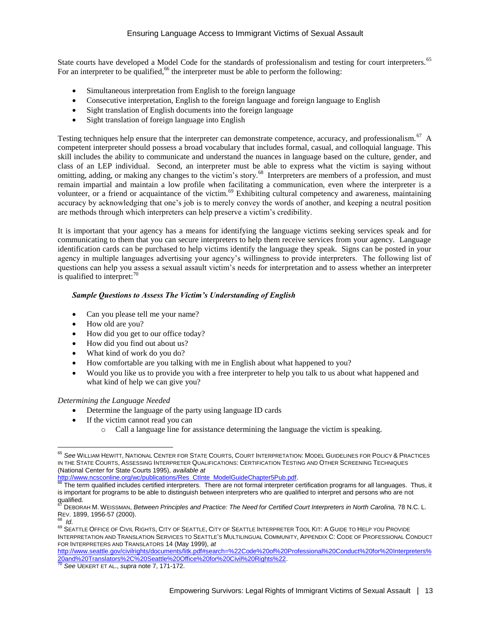State courts have developed a Model Code for the standards of professionalism and testing for court interpreters.<sup>65</sup> For an interpreter to be qualified,<sup>66</sup> the interpreter must be able to perform the following:

- Simultaneous interpretation from English to the foreign language
- Consecutive interpretation, English to the foreign language and foreign language to English
- Sight translation of English documents into the foreign language
- Sight translation of foreign language into English

Testing techniques help ensure that the interpreter can demonstrate competence, accuracy, and professionalism.<sup>67</sup> A competent interpreter should possess a broad vocabulary that includes formal, casual, and colloquial language. This skill includes the ability to communicate and understand the nuances in language based on the culture, gender, and class of an LEP individual. Second, an interpreter must be able to express what the victim is saying without omitting, adding, or making any changes to the victim's story.<sup>68</sup> Interpreters are members of a profession, and must remain impartial and maintain a low profile when facilitating a communication, even where the interpreter is a volunteer, or a friend or acquaintance of the victim.<sup>69</sup> Exhibiting cultural competency and awareness, maintaining accuracy by acknowledging that one's job is to merely convey the words of another, and keeping a neutral position are methods through which interpreters can help preserve a victim's credibility.

It is important that your agency has a means for identifying the language victims seeking services speak and for communicating to them that you can secure interpreters to help them receive services from your agency. Language identification cards can be purchased to help victims identify the language they speak. Signs can be posted in your agency in multiple languages advertising your agency's willingness to provide interpreters. The following list of questions can help you assess a sexual assault victim's needs for interpretation and to assess whether an interpreter is qualified to interpret: $70$ 

# *Sample Questions to Assess The Victim's Understanding of English*

- Can you please tell me your name?
- How old are you?
- How did you get to our office today?
- How did you find out about us?
- What kind of work do you do?
- How comfortable are you talking with me in English about what happened to you?
- Would you like us to provide you with a free interpreter to help you talk to us about what happened and what kind of help we can give you?

### *Determining the Language Needed*

- Determine the language of the party using language ID cards
- If the victim cannot read you can
	- $\circ$  Call a language line for assistance determining the language the victim is speaking.

[http://www.seattle.gov/civilrights/documents/litk.pdf#search=%22Code%20of%20Professional%20Conduct%20for%20Interpreters%](../../source-files/SA%20Manual/CH%2016%20SA_public%20benefits%20chapter%20final_np_9.25.11%20(1)7.10.13.doc) [20and%20Translators%2C%20Seattle%20Office%20for%20Civil%20Rights%22.](../../source-files/SA%20Manual/CH%2016%20SA_public%20benefits%20chapter%20final_np_9.25.11%20(1)7.10.13.doc)

 $\overline{a}$ <sup>65</sup> See WILLIAM HEWITT, NATIONAL CENTER FOR STATE COURTS, COURT INTERPRETATION: MODEL GUIDELINES FOR POLICY & PRACTICES IN THE STATE COURTS, ASSESSING INTERPRETER QUALIFICATIONS: CERTIFICATION TESTING AND OTHER SCREENING TECHNIQUES (National Center for State Courts 1995), *available at*

[http://www.ncsconline.org/wc/publications/Res\\_CtInte\\_ModelGuideChapter5Pub.pdf.](http://www.ncsconline.org/wc/publications/Res_CtInte_ModelGuideChapter5Pub.pdf)

The term qualified includes certified interpreters. There are not formal interpreter certification programs for all languages. Thus, it is important for programs to be able to distinguish between interpreters who are qualified to interpret and persons who are not qualified.

<sup>67</sup> DEBORAH M. WEISSMAN, *Between Principles and Practice: The Need for Certified Court Interpreters in North Carolina,* 78 N.C. L. REV. 1899, 1956-57 (2000).

<sup>68</sup> *Id*.

<sup>&</sup>lt;sup>69</sup> SEATTLE OFFICE OF CIVIL RIGHTS, CITY OF SEATTLE, CITY OF SEATTLE INTERPRETER TOOL KIT: A GUIDE TO HELP YOU PROVIDE INTERPRETATION AND TRANSLATION SERVICES TO SEATTLE'S MULTILINGUAL COMMUNITY, APPENDIX C: CODE OF PROFESSIONAL CONDUCT FOR INTERPRETERS AND TRANSLATORS 14 (May 1999), *at*

<sup>70</sup> *See* UEKERT ET AL., *supra* note 7, 171-172.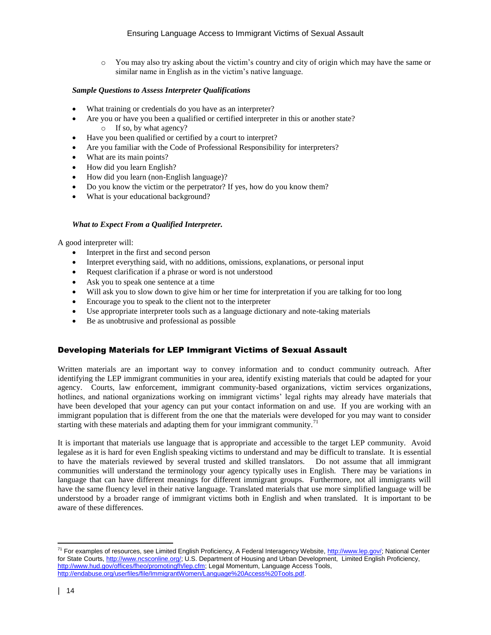o You may also try asking about the victim's country and city of origin which may have the same or similar name in English as in the victim's native language.

### *Sample Questions to Assess Interpreter Qualifications*

- What training or credentials do you have as an interpreter?
- Are you or have you been a qualified or certified interpreter in this or another state? o If so, by what agency?
- Have you been qualified or certified by a court to interpret?
- Are you familiar with the Code of Professional Responsibility for interpreters?
- What are its main points?
- How did you learn English?
- How did you learn (non-English language)?
- Do you know the victim or the perpetrator? If yes, how do you know them?
- What is your educational background?

### *What to Expect From a Qualified Interpreter.*

A good interpreter will:

- Interpret in the first and second person
- Interpret everything said, with no additions, omissions, explanations, or personal input
- Request clarification if a phrase or word is not understood
- Ask you to speak one sentence at a time
- Will ask you to slow down to give him or her time for interpretation if you are talking for too long
- Encourage you to speak to the client not to the interpreter
- Use appropriate interpreter tools such as a language dictionary and note-taking materials
- Be as unobtrusive and professional as possible

# Developing Materials for LEP Immigrant Victims of Sexual Assault

Written materials are an important way to convey information and to conduct community outreach. After identifying the LEP immigrant communities in your area, identify existing materials that could be adapted for your agency. Courts, law enforcement, immigrant community-based organizations, victim services organizations, hotlines, and national organizations working on immigrant victims' legal rights may already have materials that have been developed that your agency can put your contact information on and use. If you are working with an immigrant population that is different from the one that the materials were developed for you may want to consider starting with these materials and adapting them for your immigrant community.<sup>71</sup>

It is important that materials use language that is appropriate and accessible to the target LEP community. Avoid legalese as it is hard for even English speaking victims to understand and may be difficult to translate. It is essential to have the materials reviewed by several trusted and skilled translators. Do not assume that all immigrant communities will understand the terminology your agency typically uses in English. There may be variations in language that can have different meanings for different immigrant groups. Furthermore, not all immigrants will have the same fluency level in their native language. Translated materials that use more simplified language will be understood by a broader range of immigrant victims both in English and when translated. It is important to be aware of these differences.

 $\overline{a}$ <sup>71</sup> For examples of resources, see Limited English Proficiency, A Federal Interagency Website[, http://www.lep.gov/;](http://www.lep.gov/) National Center for State Courts[, http://www.ncsconline.org/;](http://www.ncsconline.org/) U.S. Department of Housing and Urban Development, Limited English Proficiency, [http://www.hud.gov/offices/fheo/promotingfh/lep.cfm;](http://www.hud.gov/offices/fheo/promotingfh/lep.cfm) Legal Momentum, Language Access Tools, [http://endabuse.org/userfiles/file/ImmigrantWomen/Language%20Access%20Tools.pdf.](http://endabuse.org/userfiles/file/ImmigrantWomen/Language%20Access%20Tools.pdf)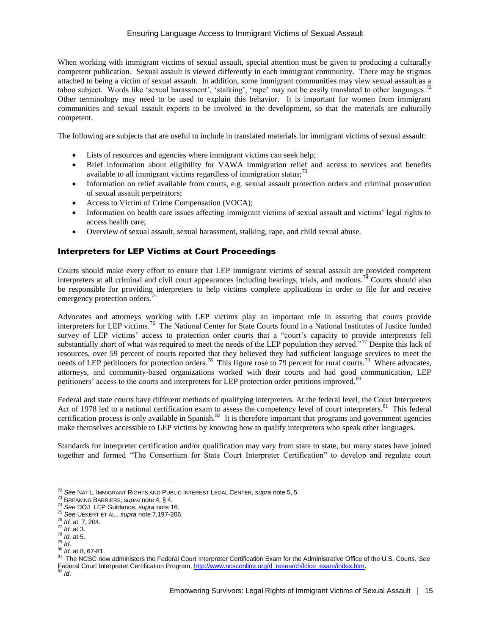When working with immigrant victims of sexual assault, special attention must be given to producing a culturally competent publication. Sexual assault is viewed differently in each immigrant community. There may be stigmas attached to being a victim of sexual assault. In addition, some immigrant communities may view sexual assault as a taboo subject. Words like 'sexual harassment', 'stalking', 'rape' may not be easily translated to other languages.<sup>72</sup> Other terminology may need to be used to explain this behavior. It is important for women from immigrant communities and sexual assault experts to be involved in the development, so that the materials are culturally competent.

The following are subjects that are useful to include in translated materials for immigrant victims of sexual assault:

- Lists of resources and agencies where immigrant victims can seek help;
- Brief information about eligibility for VAWA immigration relief and access to services and benefits available to all immigrant victims regardless of immigration status;<sup>73</sup>
- Information on relief available from courts, e.g. sexual assault protection orders and criminal prosecution of sexual assault perpetrators;
- Access to Victim of Crime Compensation (VOCA);
- Information on health care issues affecting immigrant victims of sexual assault and victims' legal rights to access health care;
- Overview of sexual assault, sexual harassment, stalking, rape, and child sexual abuse.

### Interpreters for LEP Victims at Court Proceedings

Courts should make every effort to ensure that LEP immigrant victims of sexual assault are provided competent interpreters at all criminal and civil court appearances including hearings, trials, and motions.<sup>74</sup> Courts should also be responsible for providing interpreters to help victims complete applications in order to file for and receive emergency protection orders.<sup>4</sup>

Advocates and attorneys working with LEP victims play an important role in assuring that courts provide interpreters for LEP victims.<sup>76</sup> The National Center for State Courts found in a National Institutes of Justice funded survey of LEP victims' access to protection order courts that a "court's capacity to provide interpreters fell substantially short of what was required to meet the needs of the LEP population they served."<sup>77</sup> Despite this lack of resources, over 59 percent of courts reported that they believed they had sufficient language services to meet the needs of LEP petitioners for protection orders.<sup>78</sup> This figure rose to 79 percent for rural courts.<sup>79</sup> Where advocates, attorneys, and community-based organizations worked with their courts and had good communication, LEP petitioners' access to the courts and interpreters for LEP protection order petitions improved.<sup>80</sup>

Federal and state courts have different methods of qualifying interpreters. At the federal level, the Court Interpreters Act of 1978 led to a national certification exam to assess the competency level of court interpreters.<sup>81</sup> This federal certification process is only available in Spanish. $82$  It is therefore important that programs and government agencies make themselves accessible to LEP victims by knowing how to qualify interpreters who speak other languages.

Standards for interpreter certification and/or qualification may vary from state to state, but many states have joined together and formed "The Consortium for State Court Interpreter Certification" to develop and regulate court

<sup>72</sup> *See* NAT'L. IMMIGRANT RIGHTS AND PUBLIC INTEREST LEGAL CENTER, *supra* note 5, 5.

<sup>73</sup> BREAKING BARRIERS, *supra* note 4, § 4.

<sup>74</sup> *See* DOJ LEP Guidance, *supra* note 16.

<sup>75</sup> *See* UEKERT ET AL., *supra* note 7,197-206.

<sup>76</sup> *Id*. at 7, 204.

<sup>77</sup> *Id*. at 3.

<sup>78</sup> *Id*. at 5.

<sup>79</sup> *Id*.

<sup>&</sup>lt;sup>80</sup> *Id.* at 8, 67-81.<br><sup>81</sup> The NCSC po

The NCSC now administers the Federal Court Interpreter Certification Exam for the Administrative Office of the U.S. Courts. *See*  Federal Court Interpreter Certification Program, [http://www.ncsconline.org/d\\_research/fcice\\_exam/index.htm.](http://www.ncsconline.org/d_research/fcice_exam/index.htm) <sup>82</sup> *Id*.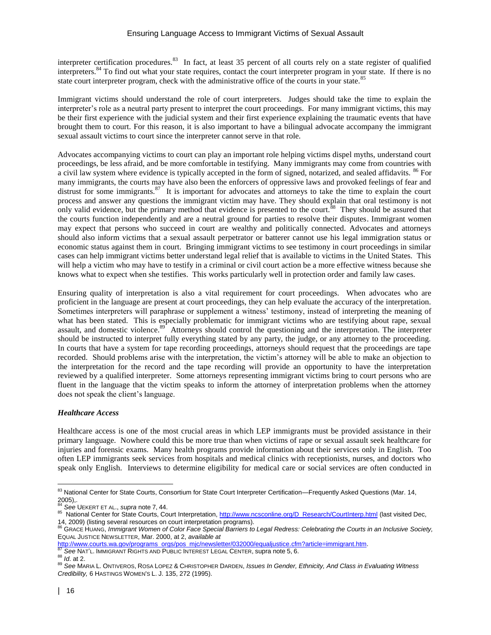interpreter certification procedures.<sup>83</sup> In fact, at least 35 percent of all courts rely on a state register of qualified interpreters.<sup>84</sup> To find out what your state requires, contact the court interpreter program in your state. If there is no state court interpreter program, check with the administrative office of the courts in your state.<sup>85</sup>

Immigrant victims should understand the role of court interpreters. Judges should take the time to explain the interpreter's role as a neutral party present to interpret the court proceedings. For many immigrant victims, this may be their first experience with the judicial system and their first experience explaining the traumatic events that have brought them to court. For this reason, it is also important to have a bilingual advocate accompany the immigrant sexual assault victims to court since the interpreter cannot serve in that role.

Advocates accompanying victims to court can play an important role helping victims dispel myths, understand court proceedings, be less afraid, and be more comfortable in testifying. Many immigrants may come from countries with a civil law system where evidence is typically accepted in the form of signed, notarized, and sealed affidavits. <sup>86</sup> For many immigrants, the courts may have also been the enforcers of oppressive laws and provoked feelings of fear and distrust for some immigrants.<sup>87</sup> It is important for advocates and attorneys to take the time to explain the court process and answer any questions the immigrant victim may have. They should explain that oral testimony is not only valid evidence, but the primary method that evidence is presented to the court.<sup>88</sup> They should be assured that the courts function independently and are a neutral ground for parties to resolve their disputes. Immigrant women may expect that persons who succeed in court are wealthy and politically connected. Advocates and attorneys should also inform victims that a sexual assault perpetrator or batterer cannot use his legal immigration status or economic status against them in court. Bringing immigrant victims to see testimony in court proceedings in similar cases can help immigrant victims better understand legal relief that is available to victims in the United States. This will help a victim who may have to testify in a criminal or civil court action be a more effective witness because she knows what to expect when she testifies. This works particularly well in protection order and family law cases.

Ensuring quality of interpretation is also a vital requirement for court proceedings. When advocates who are proficient in the language are present at court proceedings, they can help evaluate the accuracy of the interpretation. Sometimes interpreters will paraphrase or supplement a witness' testimony, instead of interpreting the meaning of what has been stated. This is especially problematic for immigrant victims who are testifying about rape, sexual assault, and domestic violence.<sup>89</sup> Attorneys should control the questioning and the interpretation. The interpreter should be instructed to interpret fully everything stated by any party, the judge, or any attorney to the proceeding. In courts that have a system for tape recording proceedings, attorneys should request that the proceedings are tape recorded. Should problems arise with the interpretation, the victim's attorney will be able to make an objection to the interpretation for the record and the tape recording will provide an opportunity to have the interpretation reviewed by a qualified interpreter. Some attorneys representing immigrant victims bring to court persons who are fluent in the language that the victim speaks to inform the attorney of interpretation problems when the attorney does not speak the client's language.

### *Healthcare Access*

Healthcare access is one of the most crucial areas in which LEP immigrants must be provided assistance in their primary language. Nowhere could this be more true than when victims of rape or sexual assault seek healthcare for injuries and forensic exams. Many health programs provide information about their services only in English. Too often LEP immigrants seek services from hospitals and medical clinics with receptionists, nurses, and doctors who speak only English. Interviews to determine eligibility for medical care or social services are often conducted in

<sup>83</sup> National Center for State Courts, Consortium for State Court Interpreter Certification—Frequently Asked Questions (Mar. 14,  $^{2005}$ ,.

See UEKERT ET AL., *supra* note 7, 44.

<sup>&</sup>lt;sup>85</sup> National Center for State Courts, Court Interpretation[, http://www.ncsconline.org/D\\_Research/CourtInterp.html](http://www.ncsconline.org/D_Research/CourtInterp.html) (last visited Dec,

<sup>14, 2009) (</sup>listing several resources on court interpretation programs). <sup>86</sup> GRACE HUANG, *Immigrant Women of Color Face Special Barriers to Legal Redress: Celebrating the Courts in an Inclusive Society,* EQUAL JUSTICE NEWSLETTER, Mar. 2000, at 2, *available at* 

[http://www.courts.wa.gov/programs\\_orgs/pos\\_mjc/newsletter/032000/equaljustice.cfm?article=immigrant.htm.](http://www.courts.wa.gov/programs_orgs/pos_mjc/newsletter/032000/equaljustice.cfm?article=immigrant.htm) **See NAT'L. IMMIGRANT RIGHTS AND PUBLIC INTEREST LEGAL CENTER, supra note 5, 6.** 

<sup>88</sup> *Id*. at 2.

<sup>89</sup> See MARIA L. ONTIVEROS, ROSA LOPEZ & CHRISTOPHER DARDEN, *Issues In Gender, Ethnicity, And Class in Evaluating Witness Credibility,* 6 HASTINGS WOMEN'S L. J. 135, 272 (1995).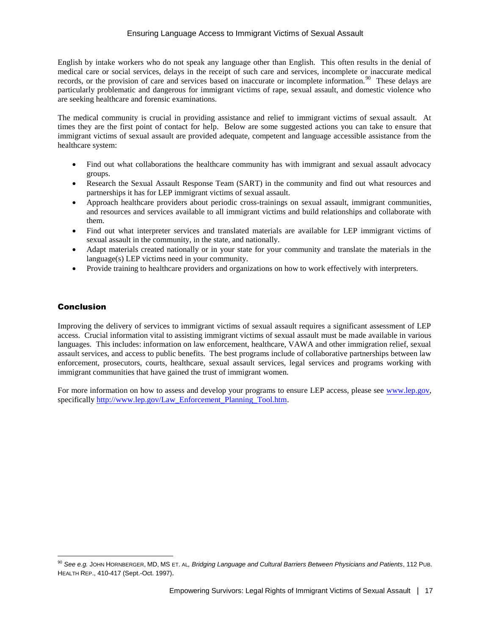English by intake workers who do not speak any language other than English. This often results in the denial of medical care or social services, delays in the receipt of such care and services, incomplete or inaccurate medical records, or the provision of care and services based on inaccurate or incomplete information.<sup>90</sup> These delays are particularly problematic and dangerous for immigrant victims of rape, sexual assault, and domestic violence who are seeking healthcare and forensic examinations.

The medical community is crucial in providing assistance and relief to immigrant victims of sexual assault. At times they are the first point of contact for help. Below are some suggested actions you can take to ensure that immigrant victims of sexual assault are provided adequate, competent and language accessible assistance from the healthcare system:

- Find out what collaborations the healthcare community has with immigrant and sexual assault advocacy groups.
- Research the Sexual Assault Response Team (SART) in the community and find out what resources and partnerships it has for LEP immigrant victims of sexual assault.
- Approach healthcare providers about periodic cross-trainings on sexual assault, immigrant communities, and resources and services available to all immigrant victims and build relationships and collaborate with them.
- Find out what interpreter services and translated materials are available for LEP immigrant victims of sexual assault in the community, in the state, and nationally.
- Adapt materials created nationally or in your state for your community and translate the materials in the language(s) LEP victims need in your community.
- Provide training to healthcare providers and organizations on how to work effectively with interpreters.

# Conclusion

 $\overline{a}$ 

Improving the delivery of services to immigrant victims of sexual assault requires a significant assessment of LEP access. Crucial information vital to assisting immigrant victims of sexual assault must be made available in various languages. This includes: information on law enforcement, healthcare, VAWA and other immigration relief, sexual assault services, and access to public benefits. The best programs include of collaborative partnerships between law enforcement, prosecutors, courts, healthcare, sexual assault services, legal services and programs working with immigrant communities that have gained the trust of immigrant women.

For more information on how to assess and develop your programs to ensure LEP access, please see [www.lep.gov,](http://www.lep.gov/) specificall[y http://www.lep.gov/Law\\_Enforcement\\_Planning\\_Tool.htm.](http://www.lep.gov/Law_Enforcement_Planning_Tool.htm)

<sup>90</sup> *See e.g.* JOHN HORNBERGER, MD, MS ET. AL*, Bridging Language and Cultural Barriers Between Physicians and Patients*, 112 PUB. HEALTH REP., 410-417 (Sept.-Oct. 1997).